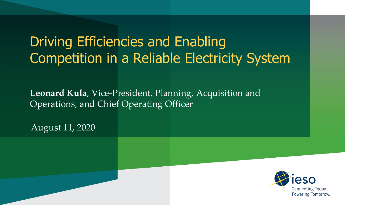# Driving Efficiencies and Enabling Competition in a Reliable Electricity System

**Leonard Kula**, Vice-President, Planning, Acquisition and Operations, and Chief Operating Officer

August 11, 2020

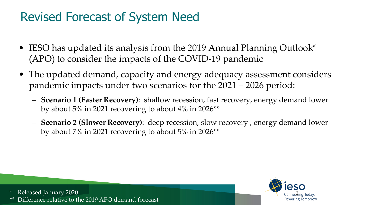#### Revised Forecast of System Need

- IESO has updated its analysis from the 2019 Annual Planning Outlook\* (APO) to consider the impacts of the COVID-19 pandemic
- The updated demand, capacity and energy adequacy assessment considers pandemic impacts under two scenarios for the 2021 – 2026 period:
	- **Scenario 1 (Faster Recovery)**: shallow recession, fast recovery, energy demand lower by about 5% in 2021 recovering to about 4% in 2026\*\*
	- **Scenario 2 (Slower Recovery)**: deep recession, slow recovery , energy demand lower by about 7% in 2021 recovering to about 5% in 2026\*\*



Released January 2020 Difference relative to the 2019 APO demand forecast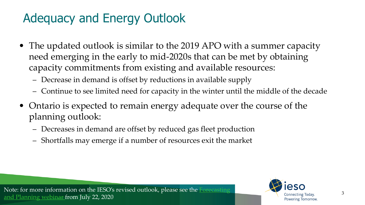## Adequacy and Energy Outlook

- The updated outlook is similar to the 2019 APO with a summer capacity need emerging in the early to mid-2020s that can be met by obtaining capacity commitments from existing and available resources:
	- Decrease in demand is offset by reductions in available supply
	- Continue to see limited need for capacity in the winter until the middle of the decade
- Ontario is expected to remain energy adequate over the course of the planning outlook:
	- Decreases in demand are offset by reduced gas fleet production
	- Shortfalls may emerge if a number of resources exit the market

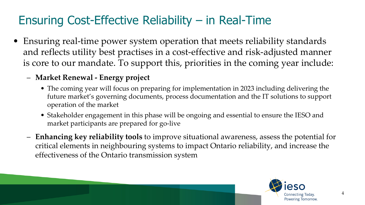#### Ensuring Cost-Effective Reliability – in Real-Time

- Ensuring real-time power system operation that meets reliability standards and reflects utility best practises in a cost-effective and risk-adjusted manner is core to our mandate. To support this, priorities in the coming year include:
	- **Market Renewal - Energy project**
		- The coming year will focus on preparing for implementation in 2023 including delivering the future market's governing documents, process documentation and the IT solutions to support operation of the market
		- Stakeholder engagement in this phase will be ongoing and essential to ensure the IESO and market participants are prepared for go-live
	- **Enhancing key reliability tools** to improve situational awareness, assess the potential for critical elements in neighbouring systems to impact Ontario reliability, and increase the effectiveness of the Ontario transmission system

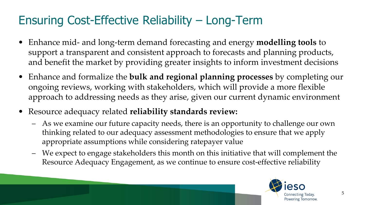### Ensuring Cost-Effective Reliability – Long-Term

- Enhance mid- and long-term demand forecasting and energy **modelling tools** to support a transparent and consistent approach to forecasts and planning products, and benefit the market by providing greater insights to inform investment decisions
- Enhance and formalize the **bulk and regional planning processes** by completing our ongoing reviews, working with stakeholders, which will provide a more flexible approach to addressing needs as they arise, given our current dynamic environment
- Resource adequacy related **reliability standards review:**
	- As we examine our future capacity needs, there is an opportunity to challenge our own thinking related to our adequacy assessment methodologies to ensure that we apply appropriate assumptions while considering ratepayer value
	- We expect to engage stakeholders this month on this initiative that will complement the Resource Adequacy Engagement, as we continue to ensure cost-effective reliability

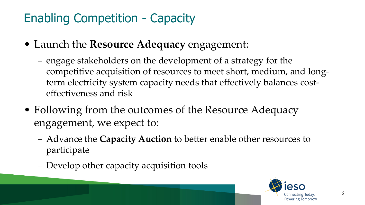## Enabling Competition - Capacity

- Launch the **Resource Adequacy** engagement:
	- engage stakeholders on the development of a strategy for the competitive acquisition of resources to meet short, medium, and longterm electricity system capacity needs that effectively balances costeffectiveness and risk
- Following from the outcomes of the Resource Adequacy engagement, we expect to:
	- Advance the **Capacity Auction** to better enable other resources to participate
	- Develop other capacity acquisition tools